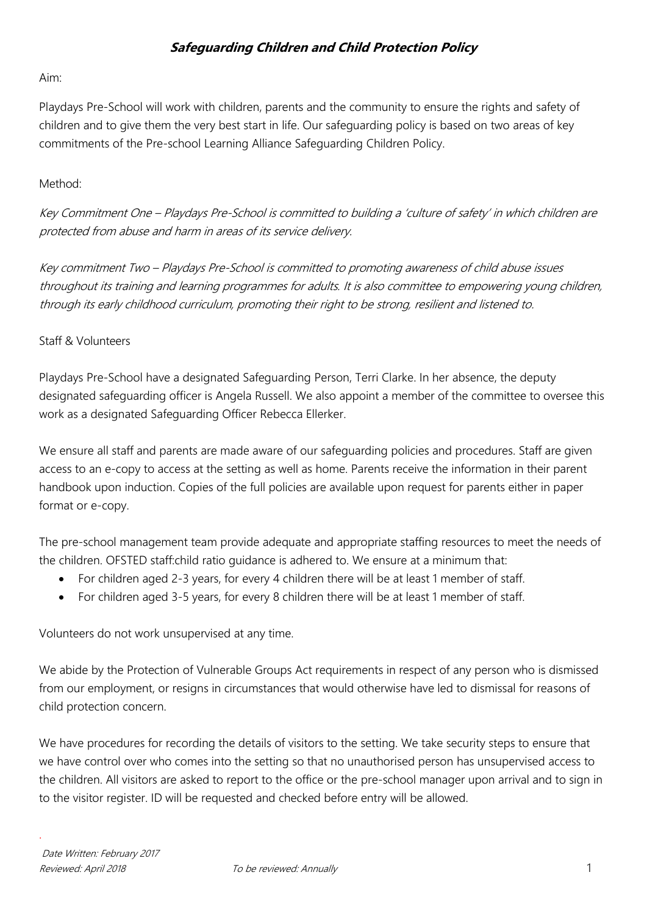#### Aim:

Playdays Pre-School will work with children, parents and the community to ensure the rights and safety of children and to give them the very best start in life. Our safeguarding policy is based on two areas of key commitments of the Pre-school Learning Alliance Safeguarding Children Policy.

### Method<sup>.</sup>

Key Commitment One – Playdays Pre-School is committed to building a 'culture of safety' in which children are protected from abuse and harm in areas of its service delivery.

Key commitment Two – Playdays Pre-School is committed to promoting awareness of child abuse issues throughout its training and learning programmes for adults. It is also committee to empowering young children, through its early childhood curriculum, promoting their right to be strong, resilient and listened to.

### Staff & Volunteers

Playdays Pre-School have a designated Safeguarding Person, Terri Clarke. In her absence, the deputy designated safeguarding officer is Angela Russell. We also appoint a member of the committee to oversee this work as a designated Safeguarding Officer Rebecca Ellerker.

We ensure all staff and parents are made aware of our safeguarding policies and procedures. Staff are given access to an e-copy to access at the setting as well as home. Parents receive the information in their parent handbook upon induction. Copies of the full policies are available upon request for parents either in paper format or e-copy.

The pre-school management team provide adequate and appropriate staffing resources to meet the needs of the children. OFSTED staff:child ratio guidance is adhered to. We ensure at a minimum that:

- For children aged 2-3 years, for every 4 children there will be at least 1 member of staff.
- For children aged 3-5 years, for every 8 children there will be at least 1 member of staff.

Volunteers do not work unsupervised at any time.

We abide by the Protection of Vulnerable Groups Act requirements in respect of any person who is dismissed from our employment, or resigns in circumstances that would otherwise have led to dismissal for reasons of child protection concern.

We have procedures for recording the details of visitors to the setting. We take security steps to ensure that we have control over who comes into the setting so that no unauthorised person has unsupervised access to the children. All visitors are asked to report to the office or the pre-school manager upon arrival and to sign in to the visitor register. ID will be requested and checked before entry will be allowed.

.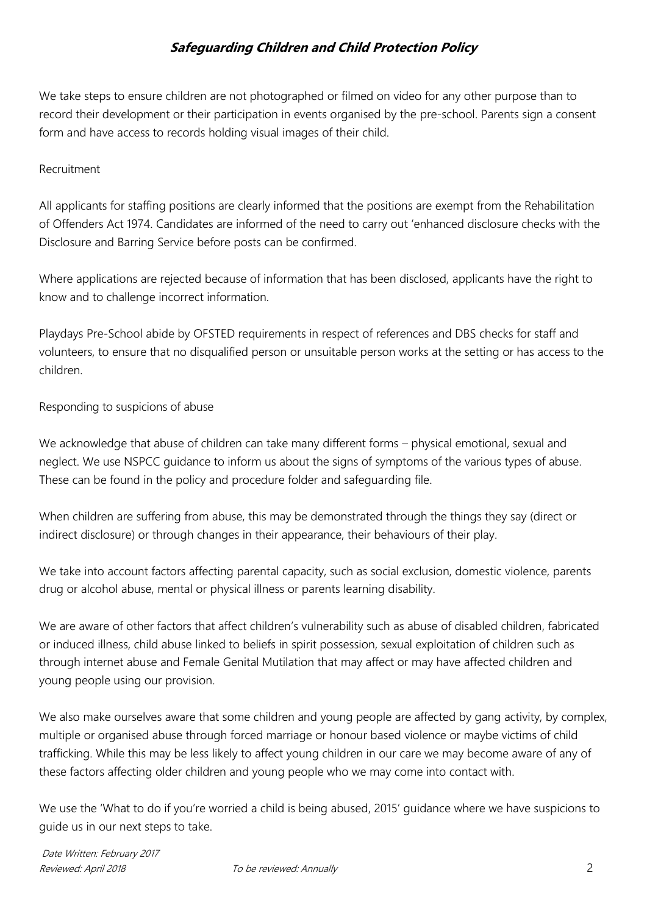We take steps to ensure children are not photographed or filmed on video for any other purpose than to record their development or their participation in events organised by the pre-school. Parents sign a consent form and have access to records holding visual images of their child.

### Recruitment

All applicants for staffing positions are clearly informed that the positions are exempt from the Rehabilitation of Offenders Act 1974. Candidates are informed of the need to carry out 'enhanced disclosure checks with the Disclosure and Barring Service before posts can be confirmed.

Where applications are rejected because of information that has been disclosed, applicants have the right to know and to challenge incorrect information.

Playdays Pre-School abide by OFSTED requirements in respect of references and DBS checks for staff and volunteers, to ensure that no disqualified person or unsuitable person works at the setting or has access to the children.

Responding to suspicions of abuse

We acknowledge that abuse of children can take many different forms – physical emotional, sexual and neglect. We use NSPCC guidance to inform us about the signs of symptoms of the various types of abuse. These can be found in the policy and procedure folder and safeguarding file.

When children are suffering from abuse, this may be demonstrated through the things they say (direct or indirect disclosure) or through changes in their appearance, their behaviours of their play.

We take into account factors affecting parental capacity, such as social exclusion, domestic violence, parents drug or alcohol abuse, mental or physical illness or parents learning disability.

We are aware of other factors that affect children's vulnerability such as abuse of disabled children, fabricated or induced illness, child abuse linked to beliefs in spirit possession, sexual exploitation of children such as through internet abuse and Female Genital Mutilation that may affect or may have affected children and young people using our provision.

We also make ourselves aware that some children and young people are affected by gang activity, by complex, multiple or organised abuse through forced marriage or honour based violence or maybe victims of child trafficking. While this may be less likely to affect young children in our care we may become aware of any of these factors affecting older children and young people who we may come into contact with.

We use the 'What to do if you're worried a child is being abused, 2015' guidance where we have suspicions to guide us in our next steps to take.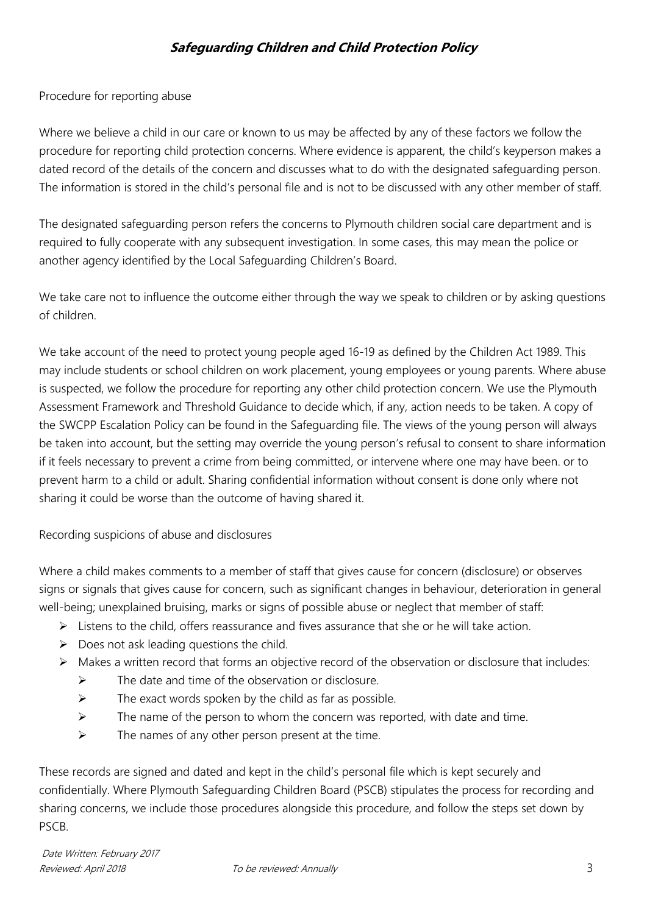Procedure for reporting abuse

Where we believe a child in our care or known to us may be affected by any of these factors we follow the procedure for reporting child protection concerns. Where evidence is apparent, the child's keyperson makes a dated record of the details of the concern and discusses what to do with the designated safeguarding person. The information is stored in the child's personal file and is not to be discussed with any other member of staff.

The designated safeguarding person refers the concerns to Plymouth children social care department and is required to fully cooperate with any subsequent investigation. In some cases, this may mean the police or another agency identified by the Local Safeguarding Children's Board.

We take care not to influence the outcome either through the way we speak to children or by asking questions of children.

We take account of the need to protect young people aged 16-19 as defined by the Children Act 1989. This may include students or school children on work placement, young employees or young parents. Where abuse is suspected, we follow the procedure for reporting any other child protection concern. We use the Plymouth Assessment Framework and Threshold Guidance to decide which, if any, action needs to be taken. A copy of the SWCPP Escalation Policy can be found in the Safeguarding file. The views of the young person will always be taken into account, but the setting may override the young person's refusal to consent to share information if it feels necessary to prevent a crime from being committed, or intervene where one may have been. or to prevent harm to a child or adult. Sharing confidential information without consent is done only where not sharing it could be worse than the outcome of having shared it.

Recording suspicions of abuse and disclosures

Where a child makes comments to a member of staff that gives cause for concern (disclosure) or observes signs or signals that gives cause for concern, such as significant changes in behaviour, deterioration in general well-being; unexplained bruising, marks or signs of possible abuse or neglect that member of staff:

- $\triangleright$  Listens to the child, offers reassurance and fives assurance that she or he will take action.
- $\triangleright$  Does not ask leading questions the child.
- $\triangleright$  Makes a written record that forms an objective record of the observation or disclosure that includes:
	- $\triangleright$  The date and time of the observation or disclosure.
	- $\triangleright$  The exact words spoken by the child as far as possible.
	- $\triangleright$  The name of the person to whom the concern was reported, with date and time.
	- $\triangleright$  The names of any other person present at the time.

These records are signed and dated and kept in the child's personal file which is kept securely and confidentially. Where Plymouth Safeguarding Children Board (PSCB) stipulates the process for recording and sharing concerns, we include those procedures alongside this procedure, and follow the steps set down by PSCB.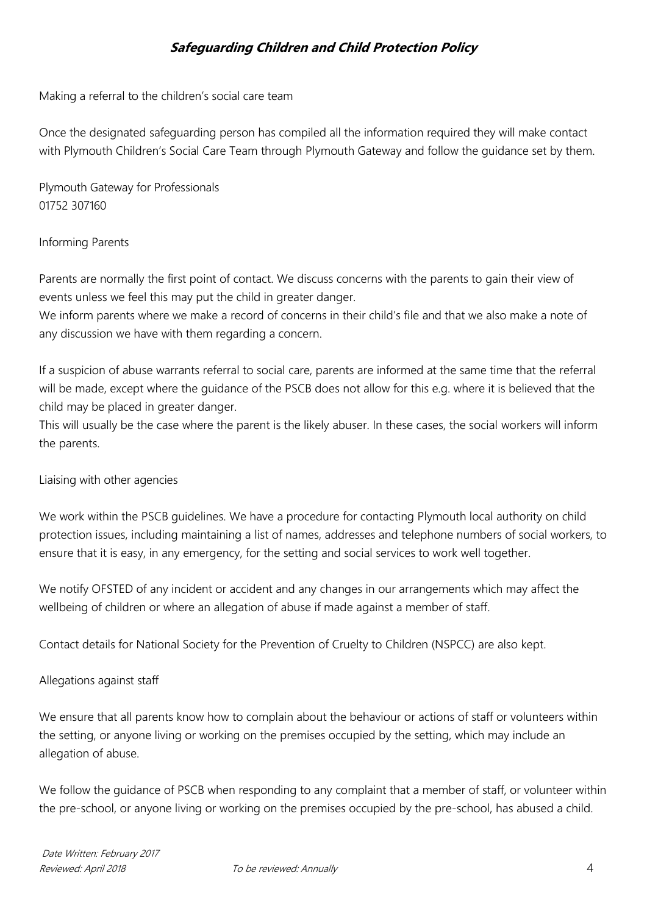Making a referral to the children's social care team

Once the designated safeguarding person has compiled all the information required they will make contact with Plymouth Children's Social Care Team through Plymouth Gateway and follow the guidance set by them.

Plymouth Gateway for Professionals 01752 307160

#### Informing Parents

Parents are normally the first point of contact. We discuss concerns with the parents to gain their view of events unless we feel this may put the child in greater danger.

We inform parents where we make a record of concerns in their child's file and that we also make a note of any discussion we have with them regarding a concern.

If a suspicion of abuse warrants referral to social care, parents are informed at the same time that the referral will be made, except where the guidance of the PSCB does not allow for this e.g. where it is believed that the child may be placed in greater danger.

This will usually be the case where the parent is the likely abuser. In these cases, the social workers will inform the parents.

#### Liaising with other agencies

We work within the PSCB quidelines. We have a procedure for contacting Plymouth local authority on child protection issues, including maintaining a list of names, addresses and telephone numbers of social workers, to ensure that it is easy, in any emergency, for the setting and social services to work well together.

We notify OFSTED of any incident or accident and any changes in our arrangements which may affect the wellbeing of children or where an allegation of abuse if made against a member of staff.

Contact details for National Society for the Prevention of Cruelty to Children (NSPCC) are also kept.

#### Allegations against staff

We ensure that all parents know how to complain about the behaviour or actions of staff or volunteers within the setting, or anyone living or working on the premises occupied by the setting, which may include an allegation of abuse.

We follow the guidance of PSCB when responding to any complaint that a member of staff, or volunteer within the pre-school, or anyone living or working on the premises occupied by the pre-school, has abused a child.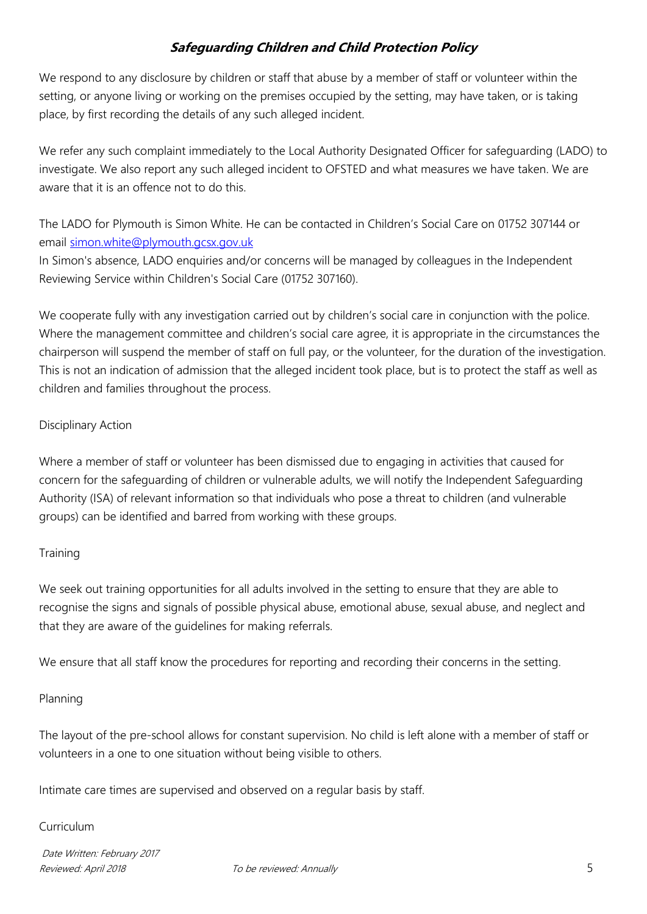We respond to any disclosure by children or staff that abuse by a member of staff or volunteer within the setting, or anyone living or working on the premises occupied by the setting, may have taken, or is taking place, by first recording the details of any such alleged incident.

We refer any such complaint immediately to the Local Authority Designated Officer for safeguarding (LADO) to investigate. We also report any such alleged incident to OFSTED and what measures we have taken. We are aware that it is an offence not to do this.

The LADO for Plymouth is Simon White. He can be contacted in Children's Social Care on 01752 307144 or email [simon.white@plymouth.gcsx.gov.uk](mailto:simon.white@plymouth.gcsx.gov.uk)

In Simon's absence, LADO enquiries and/or concerns will be managed by colleagues in the Independent Reviewing Service within Children's Social Care (01752 307160).

We cooperate fully with any investigation carried out by children's social care in conjunction with the police. Where the management committee and children's social care agree, it is appropriate in the circumstances the chairperson will suspend the member of staff on full pay, or the volunteer, for the duration of the investigation. This is not an indication of admission that the alleged incident took place, but is to protect the staff as well as children and families throughout the process.

### Disciplinary Action

Where a member of staff or volunteer has been dismissed due to engaging in activities that caused for concern for the safeguarding of children or vulnerable adults, we will notify the Independent Safeguarding Authority (ISA) of relevant information so that individuals who pose a threat to children (and vulnerable groups) can be identified and barred from working with these groups.

#### **Training**

We seek out training opportunities for all adults involved in the setting to ensure that they are able to recognise the signs and signals of possible physical abuse, emotional abuse, sexual abuse, and neglect and that they are aware of the guidelines for making referrals.

We ensure that all staff know the procedures for reporting and recording their concerns in the setting.

### Planning

The layout of the pre-school allows for constant supervision. No child is left alone with a member of staff or volunteers in a one to one situation without being visible to others.

Intimate care times are supervised and observed on a regular basis by staff.

#### Curriculum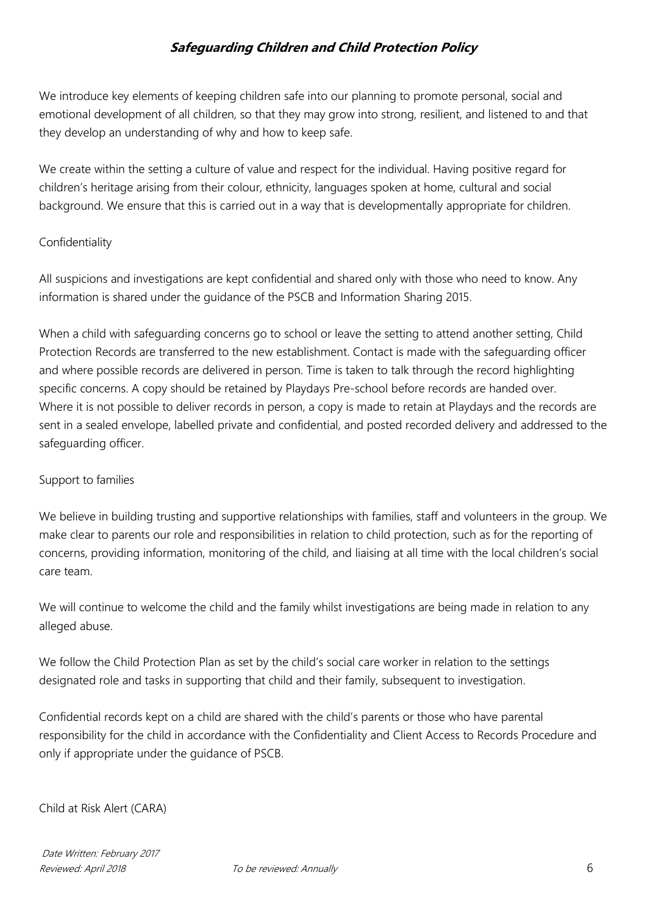We introduce key elements of keeping children safe into our planning to promote personal, social and emotional development of all children, so that they may grow into strong, resilient, and listened to and that they develop an understanding of why and how to keep safe.

We create within the setting a culture of value and respect for the individual. Having positive regard for children's heritage arising from their colour, ethnicity, languages spoken at home, cultural and social background. We ensure that this is carried out in a way that is developmentally appropriate for children.

#### Confidentiality

All suspicions and investigations are kept confidential and shared only with those who need to know. Any information is shared under the guidance of the PSCB and Information Sharing 2015.

When a child with safeguarding concerns go to school or leave the setting to attend another setting, Child Protection Records are transferred to the new establishment. Contact is made with the safeguarding officer and where possible records are delivered in person. Time is taken to talk through the record highlighting specific concerns. A copy should be retained by Playdays Pre-school before records are handed over. Where it is not possible to deliver records in person, a copy is made to retain at Playdays and the records are sent in a sealed envelope, labelled private and confidential, and posted recorded delivery and addressed to the safeguarding officer.

#### Support to families

We believe in building trusting and supportive relationships with families, staff and volunteers in the group. We make clear to parents our role and responsibilities in relation to child protection, such as for the reporting of concerns, providing information, monitoring of the child, and liaising at all time with the local children's social care team.

We will continue to welcome the child and the family whilst investigations are being made in relation to any alleged abuse.

We follow the Child Protection Plan as set by the child's social care worker in relation to the settings designated role and tasks in supporting that child and their family, subsequent to investigation.

Confidential records kept on a child are shared with the child's parents or those who have parental responsibility for the child in accordance with the Confidentiality and Client Access to Records Procedure and only if appropriate under the guidance of PSCB.

#### Child at Risk Alert (CARA)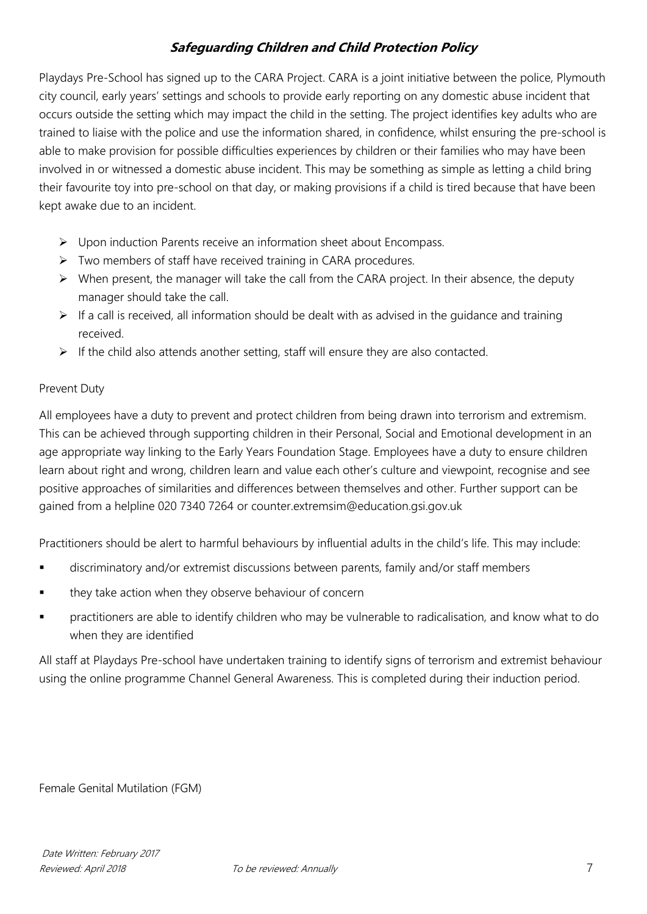Playdays Pre-School has signed up to the CARA Project. CARA is a joint initiative between the police, Plymouth city council, early years' settings and schools to provide early reporting on any domestic abuse incident that occurs outside the setting which may impact the child in the setting. The project identifies key adults who are trained to liaise with the police and use the information shared, in confidence, whilst ensuring the pre-school is able to make provision for possible difficulties experiences by children or their families who may have been involved in or witnessed a domestic abuse incident. This may be something as simple as letting a child bring their favourite toy into pre-school on that day, or making provisions if a child is tired because that have been kept awake due to an incident.

- $\triangleright$  Upon induction Parents receive an information sheet about Encompass.
- $\triangleright$  Two members of staff have received training in CARA procedures.
- $\triangleright$  When present, the manager will take the call from the CARA project. In their absence, the deputy manager should take the call.
- $\triangleright$  If a call is received, all information should be dealt with as advised in the quidance and training received.
- $\triangleright$  If the child also attends another setting, staff will ensure they are also contacted.

### Prevent Duty

All employees have a duty to prevent and protect children from being drawn into terrorism and extremism. This can be achieved through supporting children in their Personal, Social and Emotional development in an age appropriate way linking to the Early Years Foundation Stage. Employees have a duty to ensure children learn about right and wrong, children learn and value each other's culture and viewpoint, recognise and see positive approaches of similarities and differences between themselves and other. Further support can be gained from a helpline 020 7340 7264 or counter.extremsim@education.gsi.gov.uk

Practitioners should be alert to harmful behaviours by influential adults in the child's life. This may include:

- discriminatory and/or extremist discussions between parents, family and/or staff members
- they take action when they observe behaviour of concern
- practitioners are able to identify children who may be vulnerable to radicalisation, and know what to do when they are identified

All staff at Playdays Pre-school have undertaken training to identify signs of terrorism and extremist behaviour using the online programme Channel General Awareness. This is completed during their induction period.

Female Genital Mutilation (FGM)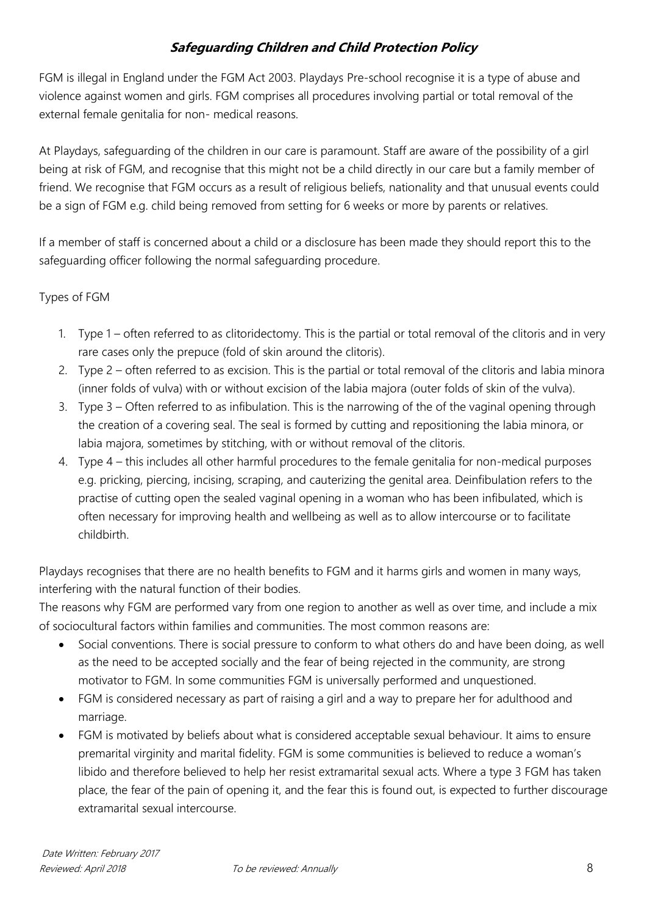FGM is illegal in England under the FGM Act 2003. Playdays Pre-school recognise it is a type of abuse and violence against women and girls. FGM comprises all procedures involving partial or total removal of the external female genitalia for non- medical reasons.

At Playdays, safeguarding of the children in our care is paramount. Staff are aware of the possibility of a girl being at risk of FGM, and recognise that this might not be a child directly in our care but a family member of friend. We recognise that FGM occurs as a result of religious beliefs, nationality and that unusual events could be a sign of FGM e.g. child being removed from setting for 6 weeks or more by parents or relatives.

If a member of staff is concerned about a child or a disclosure has been made they should report this to the safeguarding officer following the normal safeguarding procedure.

### Types of FGM

- 1. Type 1 often referred to as clitoridectomy. This is the partial or total removal of the clitoris and in very rare cases only the prepuce (fold of skin around the clitoris).
- 2. Type 2 often referred to as excision. This is the partial or total removal of the clitoris and labia minora (inner folds of vulva) with or without excision of the labia majora (outer folds of skin of the vulva).
- 3. Type 3 Often referred to as infibulation. This is the narrowing of the of the vaginal opening through the creation of a covering seal. The seal is formed by cutting and repositioning the labia minora, or labia majora, sometimes by stitching, with or without removal of the clitoris.
- 4. Type 4 this includes all other harmful procedures to the female genitalia for non-medical purposes e.g. pricking, piercing, incising, scraping, and cauterizing the genital area. Deinfibulation refers to the practise of cutting open the sealed vaginal opening in a woman who has been infibulated, which is often necessary for improving health and wellbeing as well as to allow intercourse or to facilitate childbirth.

Playdays recognises that there are no health benefits to FGM and it harms girls and women in many ways, interfering with the natural function of their bodies.

The reasons why FGM are performed vary from one region to another as well as over time, and include a mix of sociocultural factors within families and communities. The most common reasons are:

- Social conventions. There is social pressure to conform to what others do and have been doing, as well as the need to be accepted socially and the fear of being rejected in the community, are strong motivator to FGM. In some communities FGM is universally performed and unquestioned.
- FGM is considered necessary as part of raising a girl and a way to prepare her for adulthood and marriage.
- FGM is motivated by beliefs about what is considered acceptable sexual behaviour. It aims to ensure premarital virginity and marital fidelity. FGM is some communities is believed to reduce a woman's libido and therefore believed to help her resist extramarital sexual acts. Where a type 3 FGM has taken place, the fear of the pain of opening it, and the fear this is found out, is expected to further discourage extramarital sexual intercourse.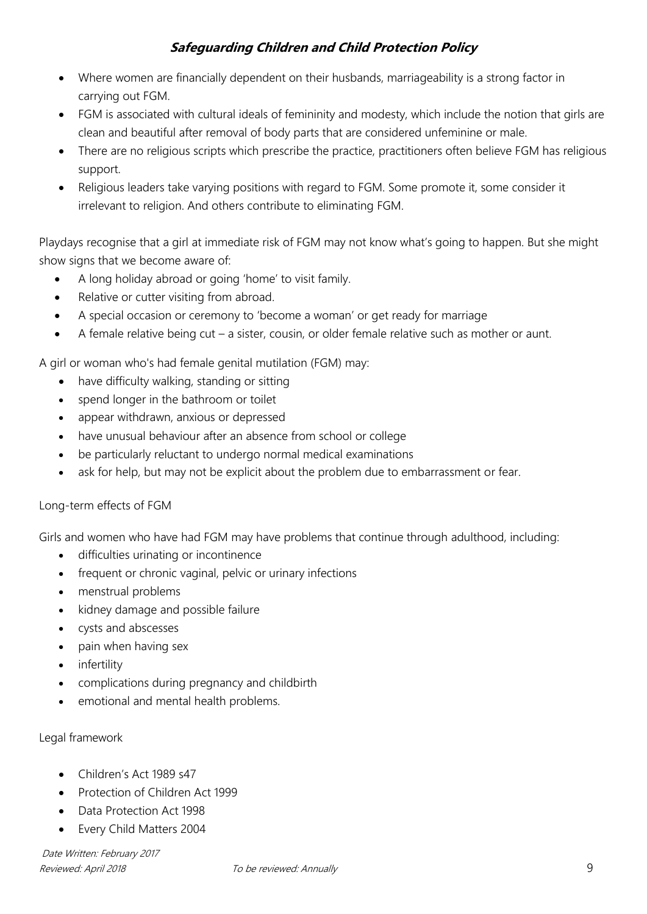- Where women are financially dependent on their husbands, marriageability is a strong factor in carrying out FGM.
- FGM is associated with cultural ideals of femininity and modesty, which include the notion that girls are clean and beautiful after removal of body parts that are considered unfeminine or male.
- There are no religious scripts which prescribe the practice, practitioners often believe FGM has religious support.
- Religious leaders take varying positions with regard to FGM. Some promote it, some consider it irrelevant to religion. And others contribute to eliminating FGM.

Playdays recognise that a girl at immediate risk of FGM may not know what's going to happen. But she might show signs that we become aware of:

- A long holiday abroad or going 'home' to visit family.
- Relative or cutter visiting from abroad.
- A special occasion or ceremony to 'become a woman' or get ready for marriage
- A female relative being cut a sister, cousin, or older female relative such as mother or aunt.

A girl or woman who's had female genital mutilation (FGM) may:

- have difficulty walking, standing or sitting
- spend longer in the bathroom or toilet
- appear withdrawn, anxious or depressed
- have unusual behaviour after an absence from school or college
- be particularly reluctant to undergo normal medical examinations
- ask for help, but may not be explicit about the problem due to embarrassment or fear.

#### Long-term effects of FGM

Girls and women who have had FGM may have problems that continue through adulthood, including:

- difficulties urinating or incontinence
- frequent or chronic vaginal, pelvic or urinary infections
- menstrual problems
- kidney damage and possible failure
- cysts and abscesses
- pain when having sex
- infertility
- complications during pregnancy and childbirth
- emotional and mental health problems.

#### Legal framework

- Children's Act 1989 s47
- Protection of Children Act 1999
- Data Protection Act 1998
- Every Child Matters 2004

Date Written: February 2017 Reviewed: April 2018 To be reviewed: Annually 800 and the series of the Seventh Contract of the Seventh Contract of the Seventh Contract of the Seventh Contract of the Seventh Contract of the Seventh Contract of the Sevent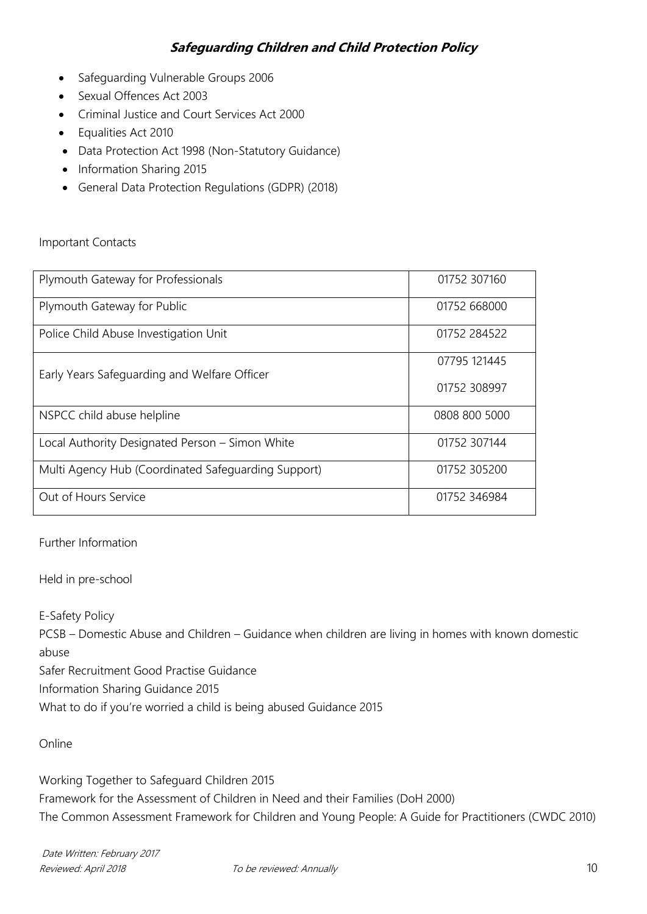- Safeguarding Vulnerable Groups 2006
- Sexual Offences Act 2003
- Criminal Justice and Court Services Act 2000
- Equalities Act 2010
- Data Protection Act 1998 (Non-Statutory Guidance)
- Information Sharing 2015
- General Data Protection Regulations (GDPR) (2018)

#### Important Contacts

| Plymouth Gateway for Professionals                  | 01752 307160  |
|-----------------------------------------------------|---------------|
| Plymouth Gateway for Public                         | 01752 668000  |
| Police Child Abuse Investigation Unit               | 01752 284522  |
| Early Years Safeguarding and Welfare Officer        | 07795 121445  |
|                                                     | 01752 308997  |
| NSPCC child abuse helpline                          | 0808 800 5000 |
| Local Authority Designated Person - Simon White     | 01752 307144  |
| Multi Agency Hub (Coordinated Safeguarding Support) | 01752 305200  |
| Out of Hours Service                                | 01752 346984  |

Further Information

Held in pre-school

E-Safety Policy

PCSB – Domestic Abuse and Children – Guidance when children are living in homes with known domestic abuse

Safer Recruitment Good Practise Guidance

Information Sharing Guidance 2015

What to do if you're worried a child is being abused Guidance 2015

Online

Working Together to Safeguard Children 2015 Framework for the Assessment of Children in Need and their Families (DoH 2000) The Common Assessment Framework for Children and Young People: A Guide for Practitioners (CWDC 2010)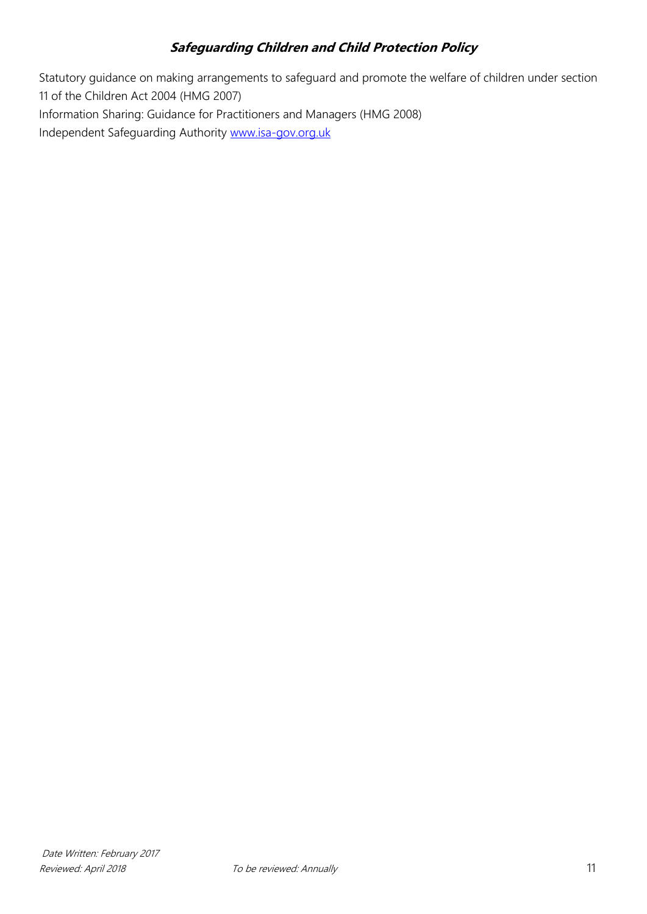Statutory guidance on making arrangements to safeguard and promote the welfare of children under section 11 of the Children Act 2004 (HMG 2007) Information Sharing: Guidance for Practitioners and Managers (HMG 2008) Independent Safeguarding Authority [www.isa-gov.org.uk](http://www.isa-gov.org.uk/)